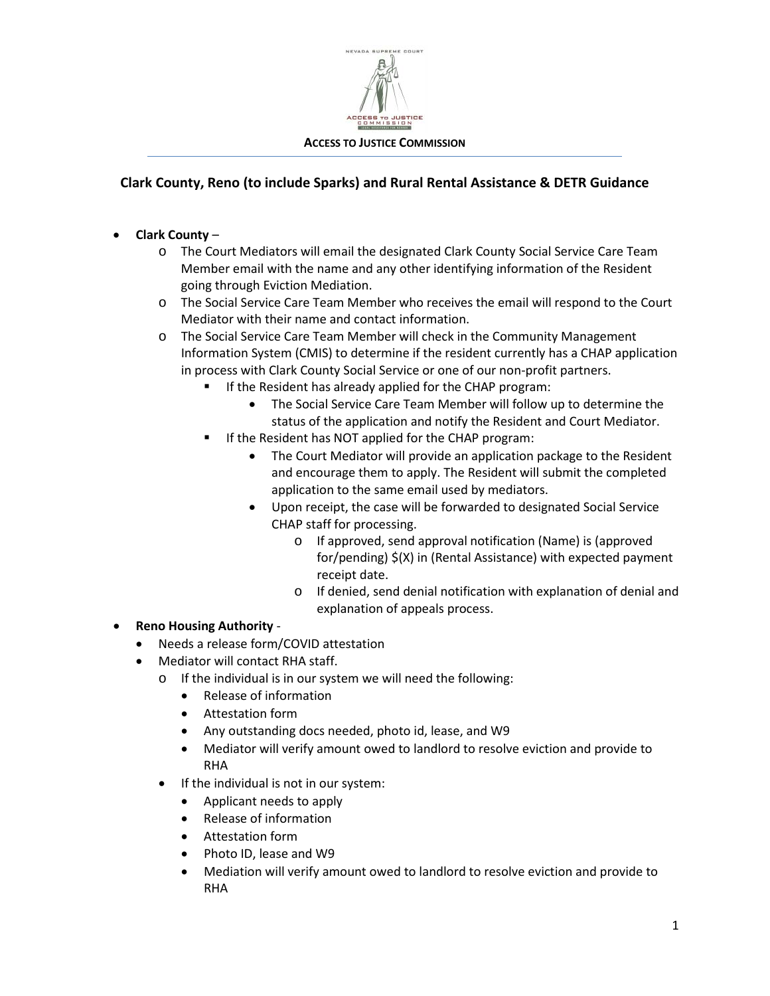

## **Clark County, Reno (to include Sparks) and Rural Rental Assistance & DETR Guidance**

- **Clark County**
	- o The Court Mediators will email the designated Clark County Social Service Care Team Member email with the name and any other identifying information of the Resident going through Eviction Mediation.
	- o The Social Service Care Team Member who receives the email will respond to the Court Mediator with their name and contact information.
	- o The Social Service Care Team Member will check in the Community Management Information System (CMIS) to determine if the resident currently has a CHAP application in process with Clark County Social Service or one of our non-profit partners.
		- If the Resident has already applied for the CHAP program:
			- The Social Service Care Team Member will follow up to determine the status of the application and notify the Resident and Court Mediator.
		- If the Resident has NOT applied for the CHAP program:
			- The Court Mediator will provide an application package to the Resident and encourage them to apply. The Resident will submit the completed application to the same email used by mediators.
			- Upon receipt, the case will be forwarded to designated Social Service CHAP staff for processing.
				- o If approved, send approval notification (Name) is (approved for/pending) \$(X) in (Rental Assistance) with expected payment receipt date.
				- o If denied, send denial notification with explanation of denial and explanation of appeals process.
- **Reno Housing Authority**
	- Needs a release form/COVID attestation
	- Mediator will contact RHA staff.
		- o If the individual is in our system we will need the following:
			- Release of information
			- Attestation form
			- Any outstanding docs needed, photo id, lease, and W9
			- Mediator will verify amount owed to landlord to resolve eviction and provide to RHA
		- If the individual is not in our system:
			- Applicant needs to apply
			- Release of information
			- Attestation form
			- Photo ID, lease and W9
			- Mediation will verify amount owed to landlord to resolve eviction and provide to RHA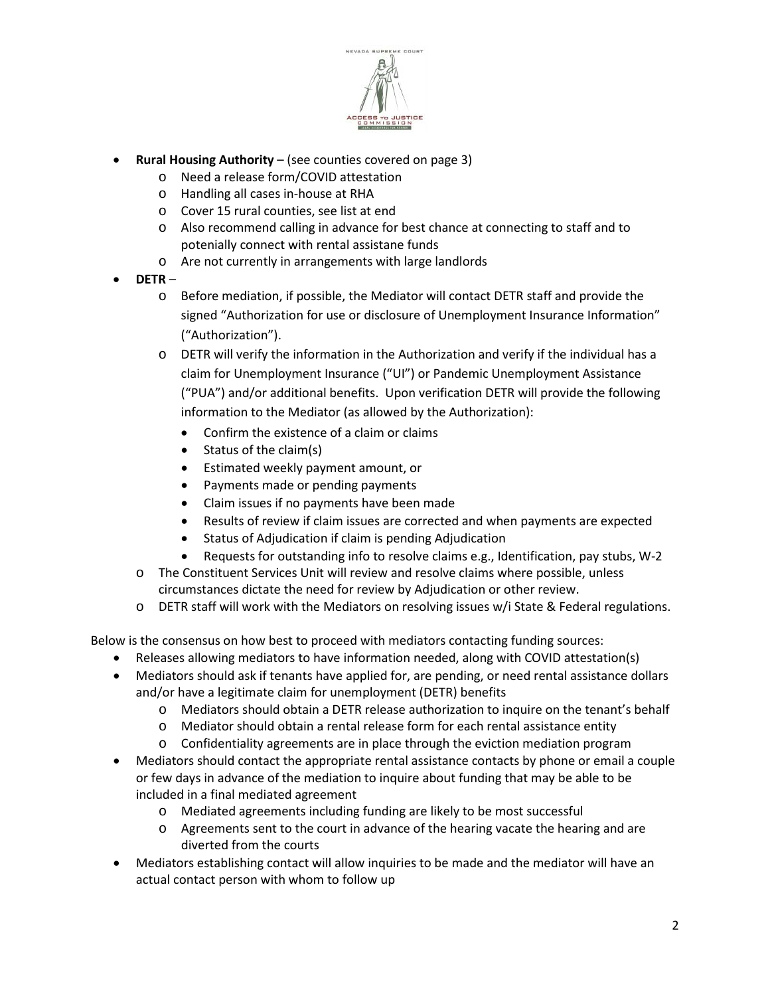

- **Rural Housing Authority** (see counties covered on page 3)
	- o Need a release form/COVID attestation
	- o Handling all cases in-house at RHA
	- o Cover 15 rural counties, see list at end
	- o Also recommend calling in advance for best chance at connecting to staff and to potenially connect with rental assistane funds
	- o Are not currently in arrangements with large landlords
- **DETR**
	- o Before mediation, if possible, the Mediator will contact DETR staff and provide the signed "Authorization for use or disclosure of Unemployment Insurance Information" ("Authorization").
	- o DETR will verify the information in the Authorization and verify if the individual has a claim for Unemployment Insurance ("UI") or Pandemic Unemployment Assistance ("PUA") and/or additional benefits. Upon verification DETR will provide the following information to the Mediator (as allowed by the Authorization):
		- Confirm the existence of a claim or claims
		- Status of the claim(s)
		- Estimated weekly payment amount, or
		- Payments made or pending payments
		- Claim issues if no payments have been made
		- Results of review if claim issues are corrected and when payments are expected
		- Status of Adjudication if claim is pending Adjudication
		- Requests for outstanding info to resolve claims e.g., Identification, pay stubs, W-2
	- o The Constituent Services Unit will review and resolve claims where possible, unless circumstances dictate the need for review by Adjudication or other review.
	- o DETR staff will work with the Mediators on resolving issues w/i State & Federal regulations.

Below is the consensus on how best to proceed with mediators contacting funding sources:

- Releases allowing mediators to have information needed, along with COVID attestation(s)
- Mediators should ask if tenants have applied for, are pending, or need rental assistance dollars and/or have a legitimate claim for unemployment (DETR) benefits
	- o Mediators should obtain a DETR release authorization to inquire on the tenant's behalf
	- o Mediator should obtain a rental release form for each rental assistance entity
	- o Confidentiality agreements are in place through the eviction mediation program
- Mediators should contact the appropriate rental assistance contacts by phone or email a couple or few days in advance of the mediation to inquire about funding that may be able to be included in a final mediated agreement
	- o Mediated agreements including funding are likely to be most successful
	- o Agreements sent to the court in advance of the hearing vacate the hearing and are diverted from the courts
- Mediators establishing contact will allow inquiries to be made and the mediator will have an actual contact person with whom to follow up